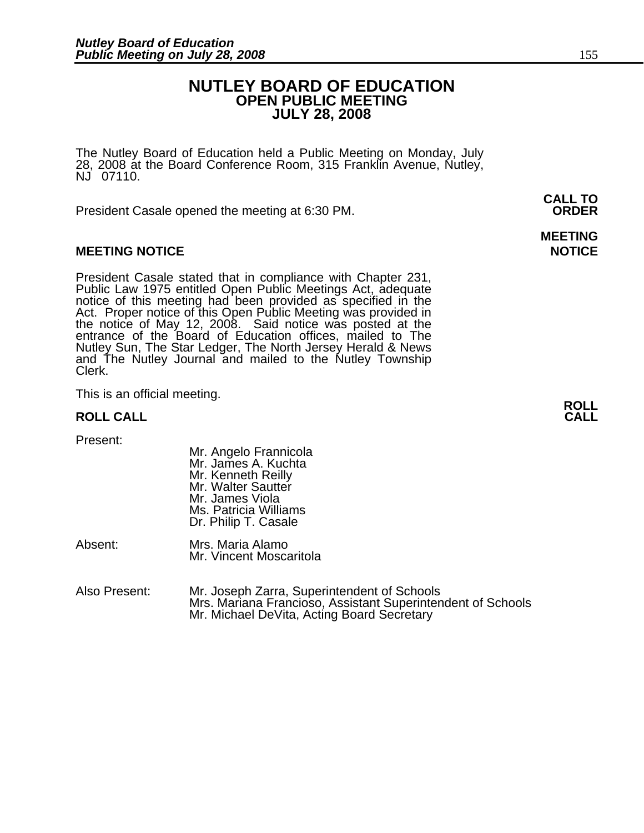### **NUTLEY BOARD OF EDUCATION OPEN PUBLIC MEETING JULY 28, 2008**

The Nutley Board of Education held a Public Meeting on Monday, July 28, 2008 at the Board Conference Room, 315 Franklin Avenue, Nutley, NJ 07110.

 **CALL TO**  President Casale opened the meeting at 6:30 PM. **ORDER**

#### **MEETING NOTICE NOTICE REPORTS AND ALCOHOL**

President Casale stated that in compliance with Chapter 231, Public Law 1975 entitled Open Public Meetings Act, adequate notice of this meeting had been provided as specified in the Act. Proper notice of this Open Public M the notice of May 12, 2008. Said notice was posted at the entrance of the Board of Education offices, mailed to The Nutley Sun, The Star Ledger, The North Jersey Herald & News and The Nutley Journal and mailed to the Nutley Township Clerk.

This is an official meeting. **ROLL ROLL CALL CALL** 

Present:

- Mr. Angelo Frannicola Mr. James A. Kuchta Mr. Kenneth Reilly Mr. Walter Sautter Mr. James Viola Ms. Patricia Williams Dr. Philip T. Casale
- Absent: Mrs. Maria Alamo Mr. Vincent Moscaritola
- Also Present: Mr. Joseph Zarra, Superintendent of Schools Mrs. Mariana Francioso, Assistant Superintendent of Schools Mr. Michael DeVita, Acting Board Secretary

## **MEETING**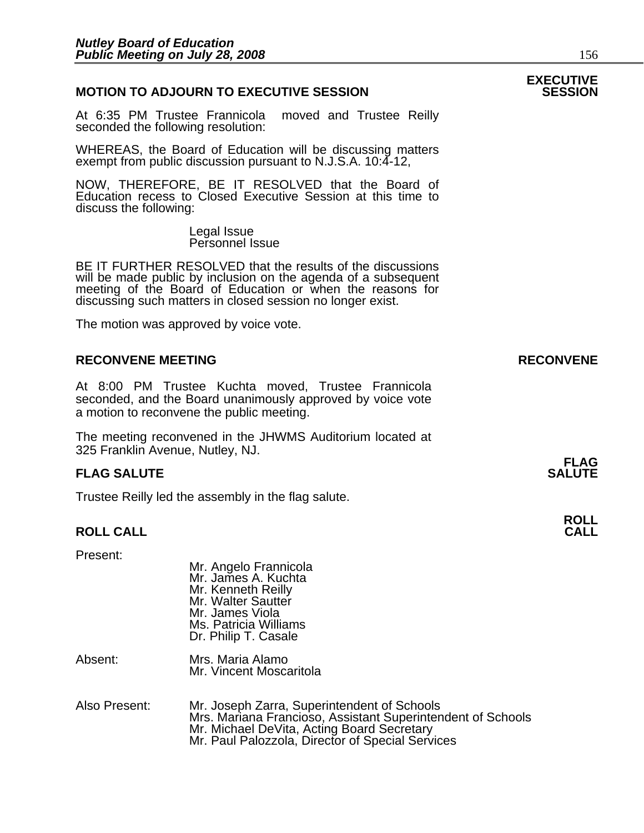#### **MOTION TO ADJOURN TO EXECUTIVE SESSION**

At 6:35 PM Trustee Frannicola moved and Trustee Reilly seconded the following resolution:

WHEREAS, the Board of Education will be discussing matters exempt from public discussion pursuant to N.J.S.A. 10:4-12,

NOW, THEREFORE, BE IT RESOLVED that the Board of Education recess to Closed Executive Session at this time to discuss the following:

> Legal Issue Personnel Issue

BE IT FURTHER RESOLVED that the results of the discussions will be made public by inclusion on the agenda of a subsequent meeting of the Board of Education or when the reasons for discussing such matters in closed session no longer exist.

 The motion was approved by voice vote.

#### **RECONVENE MEETING RECONVENE**

At 8:00 PM Trustee Kuchta moved, Trustee Frannicola seconded, and the Board unanimously approved by voice vote a motion to reconvene the public meeting.

The meeting reconvened in the JHWMS Auditorium located at 325 Franklin Avenue, Nutley, NJ.

#### **FLAG SALUTE** SALUTE SALUTE SALUTE SALUTE SALUTE

Trustee Reilly led the assembly in the flag salute.

### **ROLL ROLL CALL CALL**

Present:

| .       | Mr. Angelo Frannicola<br>Mr. James A. Kuchta<br>Mr. Kenneth Reilly<br>Mr. Walter Sautter<br>Mr. James Viola<br>Ms. Patricia Williams<br>Dr. Philip T. Casale |
|---------|--------------------------------------------------------------------------------------------------------------------------------------------------------------|
| Absent: | Mrs. Maria Alamo<br>Mr. Vincent Moscaritola                                                                                                                  |

Also Present: Mr. Joseph Zarra, Superintendent of Schools Mrs. Mariana Francioso, Assistant Superintendent of Schools Mr. Michael DeVita, Acting Board Secretary Mr. Paul Palozzola, Director of Special Services

## **EXECUTIVE**

## **FLAG**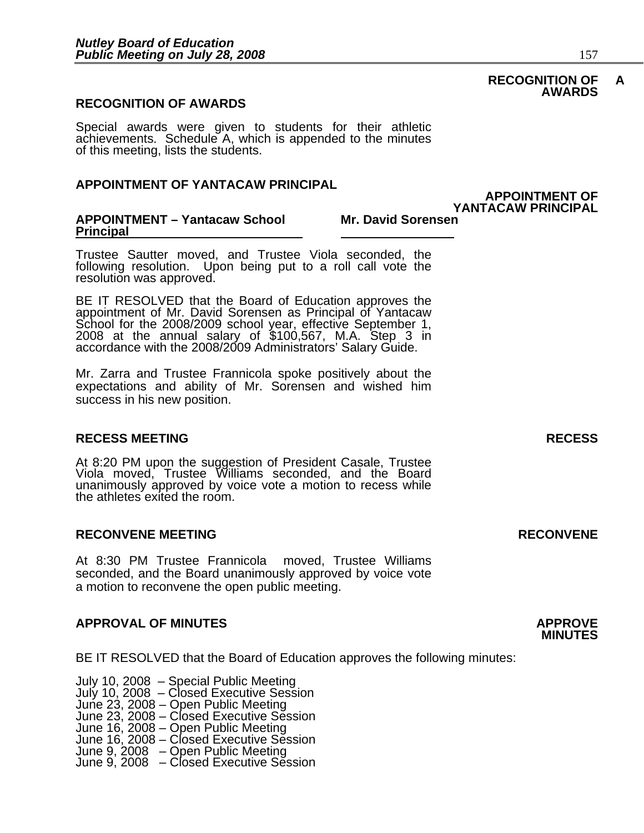#### **RECOGNITION OF AWARDS**

Special awards were given to students for their athletic achievements. Schedule A, which is appended to the minutes of this meeting, lists the students.

#### **APPOINTMENT OF YANTACAW PRINCIPAL**

#### **APPOINTMENT – Yantacaw School Principal**

Trustee Sautter moved, and Trustee Viola seconded, the following resolution. Upon being put to a roll call vote the resolution was approved.

BE IT RESOLVED that the Board of Education approves the appointment of Mr. David Sorensen as Principal of Yantacaw School for the 2008/2009 school year, effective September 1, 2008 at the annual salary of \$100,567, M.A. St

Mr. Zarra and Trustee Frannicola spoke positively about the expectations and ability of Mr. Sorensen and wished him success in his new position.

#### **RECESS MEETING RECESS**

At 8:20 PM upon the suggestion of President Casale, Trustee Viola moved, Trustee Williams seconded, and the Board unanimously approved by voice vote a motion to recess while the athletes exited the room.

#### **RECONVENE MEETING RECONVENE**

At 8:30 PM Trustee Frannicola moved, Trustee Williams seconded, and the Board unanimously approved by voice vote a motion to reconvene the open public meeting.

#### **APPROVAL OF MINUTES APPROVE**

BE IT RESOLVED that the Board of Education approves the following minutes:

 July 10, 2008 – Special Public Meeting July 10, 2008 – Closed Executive Session June 23, 2008 – Open Public Meeting June 23, 2008 – Closed Executive Session June 16, 2008 – Open Public Meeting June 16, 2008 – Closed Executive Session June 9, 2008 – Open Public Meeting June 9, 2008 – Closed Executive Session

#### **RECOGNITION OF A AWARDS**

**APPOINTMENT OF** 

**Mr. David Sorensen**<br>Mr. David Sorensen

## **MINUTES**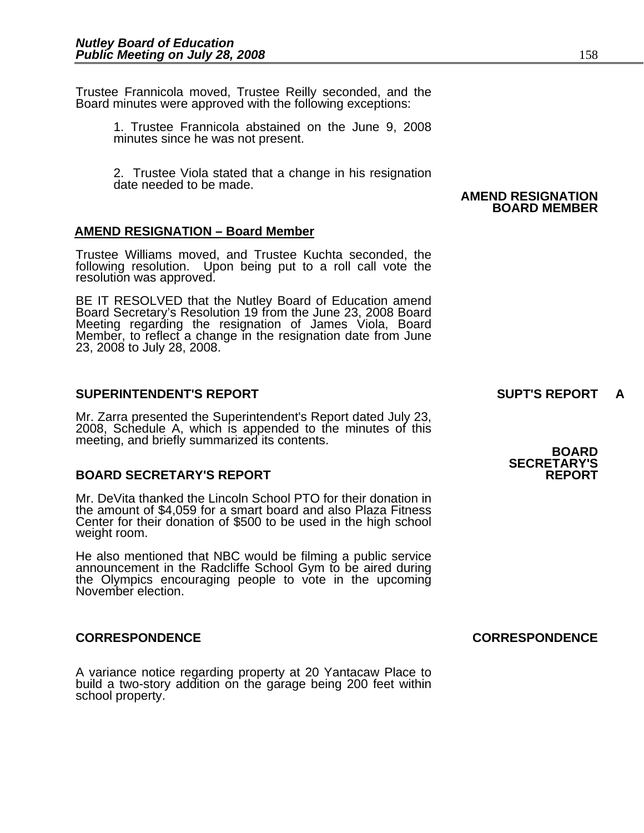Trustee Frannicola moved, Trustee Reilly seconded, and the Board minutes were approved with the following exceptions:

1. Trustee Frannicola abstained on the June 9, 2008 minutes since he was not present.

2. Trustee Viola stated that a change in his resignation date needed to be made.

#### **AMEND RESIGNATION – Board Member**

Trustee Williams moved, and Trustee Kuchta seconded, the following resolution. Upon being put to a roll call vote the resolution was approved.

BE IT RESOLVED that the Nutley Board of Education amend<br>Board Secretary's Resolution 19 from the June 23, 2008 Board Meeting regarding the resignation of James Viola, Board Member, to reflect a change in the resignation date from June 23, 2008 to July 28, 2008.

#### **SUPERINTENDENT'S REPORT SUPT'S REPORT A**

Mr. Zarra presented the Superintendent's Report dated July 23, 2008, Schedule A, which is appended to the minutes of this meeting, and briefly summarized its contents. **BOARD** 

#### **BOARD SECRETARY'S REPORT**

Mr. DeVita thanked the Lincoln School PTO for their donation in the amount of \$4,059 for a smart board and also Plaza Fitness Center for their donation of \$500 to be used in the high school weight room.

He also mentioned that NBC would be filming a public service announcement in the Radcliffe School Gym to be aired during the Olympics encouraging people to vote in the upcoming November election.

A variance notice regarding property at 20 Yantacaw Place to build a two-story addition on the garage being 200 feet within school property.

**SECRETARY'S** 

 **AMEND RESIGNATION BOARD MEMBER**

**CORRESPONDENCE CORRESPONDENCE**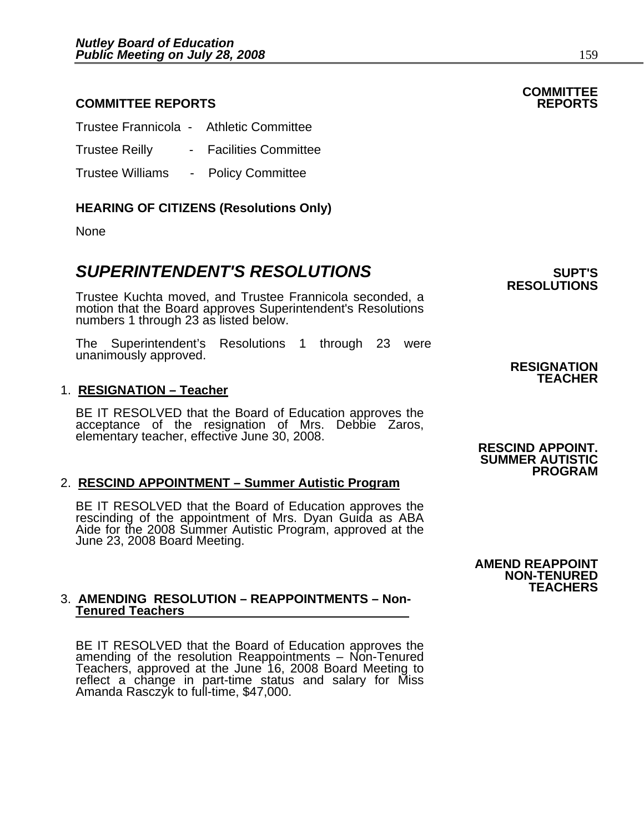### **COMMITTEE REPORTS REPORTS**

| Trustee Frannicola - Athletic Committee |                             |
|-----------------------------------------|-----------------------------|
| <b>Trustee Reilly</b>                   | <b>Facilities Committee</b> |
| <b>Trustee Williams</b>                 | <b>Policy Committee</b>     |

### **HEARING OF CITIZENS (Resolutions Only)**

None

### **SUPERINTENDENT'S RESOLUTIONS EXAMPLE ASSESSED ASSESSED ASSESSED ASSESSED ASSESSED ASSESSED ASSESSED ASSESSED ASSESSED AND ASSESSED ASSESSED ASSESSED ASSESSED AND ASSESSED ASSESSED ASSESSED ASSESSED ASSESSED ASSESSED ASS**

Trustee Kuchta moved, and Trustee Frannicola seconded, a motion that the Board approves Superintendent's Resolutions numbers 1 through 23 as listed below.

The Superintendent's Resolutions 1 through 23 were unanimously approved. **RESIGNATION RESIGNATION** 

#### 1. **RESIGNATION – Teacher**

BE IT RESOLVED that the Board of Education approves the acceptance of the resignation of Mrs. Debbie Zaros, elementary teacher, effective June 30, 2008. **RESCIND APPOINT.** 

#### 2. **RESCIND APPOINTMENT – Summer Autistic Program**

BE IT RESOLVED that the Board of Education approves the rescinding of the appointment of Mrs. Dyan Guida as ABA Aide for the 2008 Summer Autistic Program, approved at the June 23, 2008 Board Meeting.

#### 3. **AMENDING RESOLUTION – REAPPOINTMENTS – Non-Tenured Teachers**

BE IT RESOLVED that the Board of Education approves the amending of the resolution Reappointments – Non-Tenured Teachers, approved at the June 16, 2008 Board Meeting to reflect a change in part-time status and salary for Miss Amanda Rasczyk to full-time, \$47,000. **RESOLUTIONS** 

**TEACHER**

 **SUMMER AUTISTIC PROGRAM** 



## **COMMITTEE**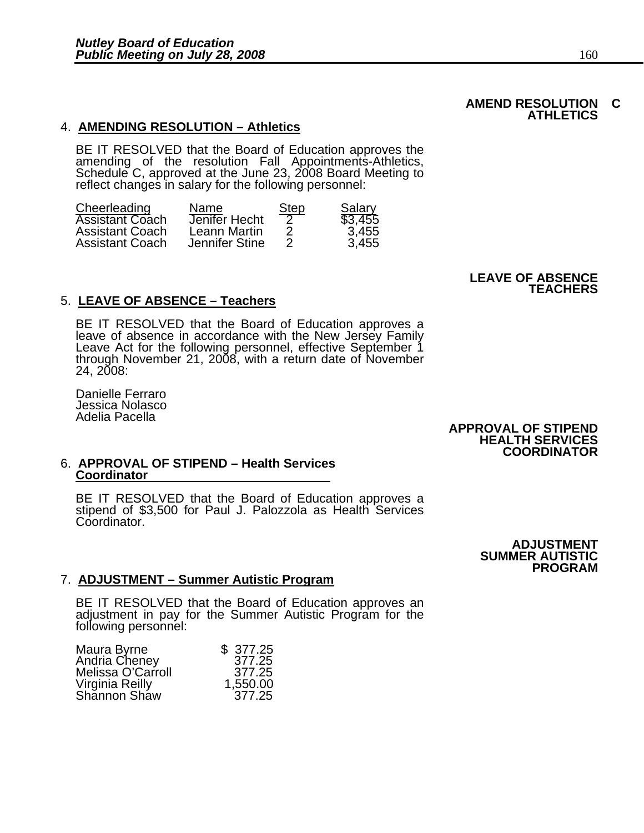BE IT RESOLVED that the Board of Education approves the amending of the resolution Fall Appointments-Athletics, Schedule C, approved at the June 23, 2008 Board Meeting to reflect changes in salary for the following personn

| Cheerleading           | Name.          | <b>Step</b> | Salary  |
|------------------------|----------------|-------------|---------|
| <b>Assistant Coach</b> | Jenifer Hecht  |             | \$3,455 |
| <b>Assistant Coach</b> | Leann Martin   |             | 3,455   |
| <b>Assistant Coach</b> | Jennifer Stine |             | 3.455   |

### 5. **LEAVE OF ABSENCE – Teachers**

BE IT RESOLVED that the Board of Education approves a leave of absence in accordance with the New Jersey Family Leave Act for the following personnel, effective September 1 through November 21, 2008, with a return date of 24, 2008:

Danielle Ferraro Jessica Nolasco Adelia Pacella

**APPROVAL OF STIPEND HEALTH SERVICES COORDINATOR** 

#### 6. **APPROVAL OF STIPEND – Health Services Coordinator**

BE IT RESOLVED that the Board of Education approves a stipend of \$3,500 for Paul J. Palozzola as Health Services Coordinator.

> **ADJUSTMENT SUMMER AUTISTIC PROGRAM**

#### 7. **ADJUSTMENT – Summer Autistic Program**

BE IT RESOLVED that the Board of Education approves an adjustment in pay for the Summer Autistic Program for the following personnel:

| \$ 377.25 |
|-----------|
| 377.25    |
| 377.25    |
| 1,550.00  |
| 377.25    |
|           |

#### **AMEND RESOLUTION C ATHLETICS**

#### **LEAVE OF ABSENCE TEACHERS**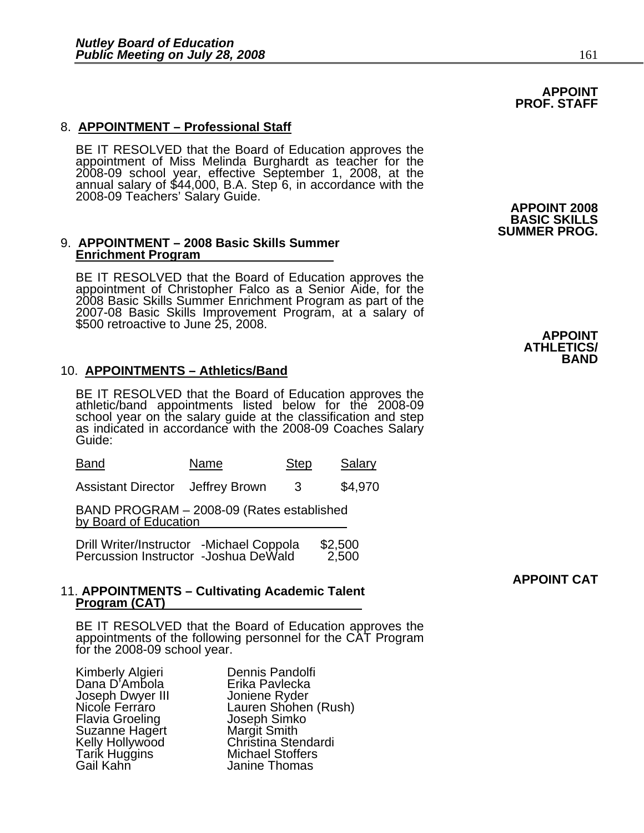### 8. **APPOINTMENT – Professional Staff**

BE IT RESOLVED that the Board of Education approves the appointment of Miss Melinda Burghardt as teacher for the 2008-09 school year, effective September 1, 2008, at the annual salary of \$44,000, B.A. Step 6, in accordance with the 2008-09 Teachers' Salary Guide. **APPOINT 2008** 

#### 9. **APPOINTMENT – 2008 Basic Skills Summer Enrichment Program**

BE IT RESOLVED that the Board of Education approves the appointment of Christopher Falco as a Senior Aide, for the 2008 Basic Skills Summer Enrichment Program as part of the 2007-08 Basic Skills Improvement Program, at a salary of \$500 retroactive to June 25, 2008.

#### 10. **APPOINTMENTS – Athletics/Band**

BE IT RESOLVED that the Board of Education approves the athletic/band appointments listed below for the 2008-09 school year on the salary guide at the classification and step as indicated in accordance with the 2008-09 Coaches Salary Guide:

| Band | Name | <b>Step</b> | Salary |
|------|------|-------------|--------|
|      |      |             |        |

Assistant Director Jeffrey Brown 3 \$4,970

BAND PROGRAM – 2008-09 (Rates established by Board of Education

| Drill Writer/Instructor -Michael Coppola<br>Percussion Instructor -Joshua DeWald | \$2,500 |
|----------------------------------------------------------------------------------|---------|
|                                                                                  | 2,500   |

#### 11. **APPOINTMENTS – Cultivating Academic Talent Program (CAT)**

BE IT RESOLVED that the Board of Education approves the appointments of the following personnel for the CAT Program for the 2008-09 school year.

| Kimberly Algieri       | Dennis Pandolfi         |
|------------------------|-------------------------|
| Dana D'Ambola          | Erika Pavlecka          |
| Joseph Dwyer III       | Joniene Ryder           |
| Nicole Ferráro         | Lauren Shohen           |
| <b>Flavia Groeling</b> | Joseph Simko            |
| Suzanne Hagert         | <b>Margit Smith</b>     |
| Kelly Hollywood        | Christina Stenda        |
| <b>Tarik Huggins</b>   | <b>Michael Stoffers</b> |
| Gail Kahn              | Janine Thomas           |

Erika Pavlecka Joniene Ryder Lauren Shohen (Rush) Joseph Simko Margit Smith Christina Stendardi **Michael Stoffers** Janine Thomas

**BASIC SKILLS SUMMER PROG.** 

> **APPOINT ATHLETICS/ BAND**

**APPOINT CAT** 

#### **APPOINT PROF. STAFF**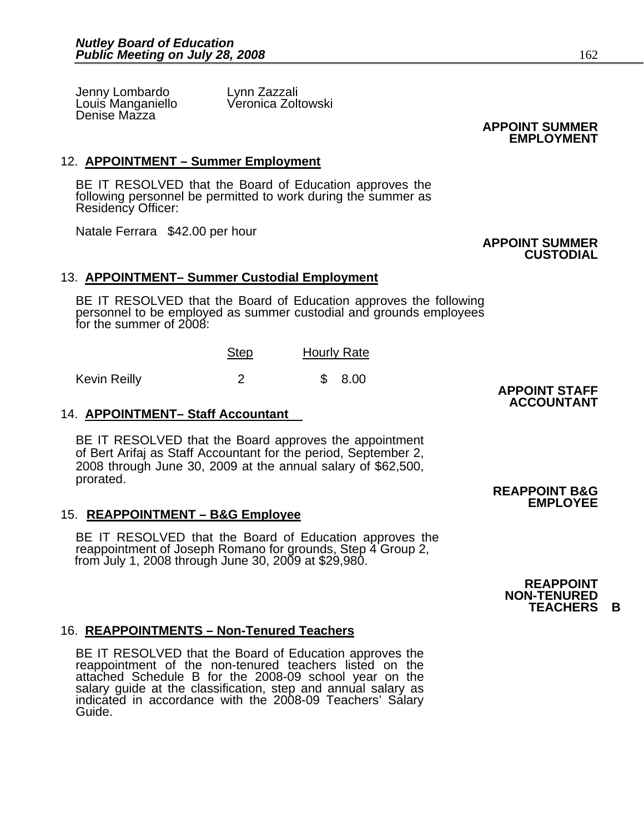Jenny Lombardo Lynn Zazzali<br>Louis Manganiello Veronica Zoltowski Louis Manganiello Denise Mazza

 **APPOINT SUMMER EMPLOYMENT**

 **APPOINT SUMMER** 

**CUSTODIAL** 

### 12. **APPOINTMENT – Summer Employment**

BE IT RESOLVED that the Board of Education approves the following personnel be permitted to work during the summer as Residency Officer:

Natale Ferrara \$42.00 per hour

#### 13. **APPOINTMENT– Summer Custodial Employment**

BE IT RESOLVED that the Board of Education approves the following personnel to be employed as summer custodial and grounds employees for the summer of 2008:

|              | <b>Step</b> | <b>Hourly Rate</b> |
|--------------|-------------|--------------------|
| Kevin Reilly |             | 8.00               |

#### 14. **APPOINTMENT– Staff Accountant**

BE IT RESOLVED that the Board approves the appointment of Bert Arifaj as Staff Accountant for the period, September 2, 2008 through June 30, 2009 at the annual salary of \$62,500, prorated.

#### 15. **REAPPOINTMENT – B&G Employee**

BE IT RESOLVED that the Board of Education approves the reappointment of Joseph Romano for grounds, Step 4 Group 2, from July 1, 2008 through June 30, 2009 at \$29,980.

### 16. **REAPPOINTMENTS – Non-Tenured Teachers**

BE IT RESOLVED that the Board of Education approves the reappointment of the non-tenured teachers listed on the attached Schedule B for the 2008-09 school year on the salary guide at the classification, step and annual salary as indicated in accordance with the 2008-09 Teachers' Salary Guide.

**APPOINT STAFF ACCOUNTANT** 

**REAPPOINT B&G EMPLOYEE** 

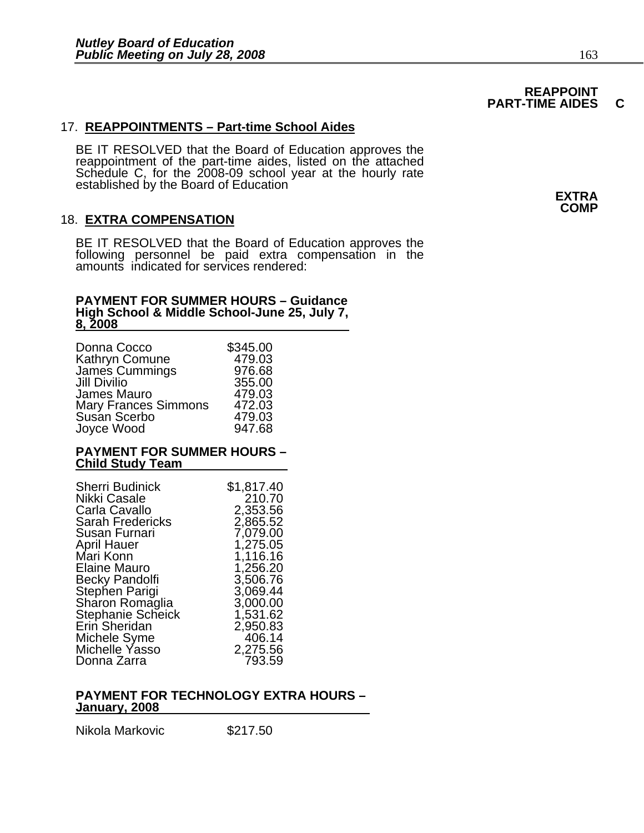## **REAPPOINT<br>PART-TIME AIDES**

# **PART-TIME AIDES C** 17. **REAPPOINTMENTS – Part-time School Aides**

BE IT RESOLVED that the Board of Education approves the reappointment of the part-time aides, listed on the attached Schedule C, for the 2008-09 school year at the hourly rate established by the Board of Education **EXTRA** 

### 18. **EXTRA COMPENSATION**

BE IT RESOLVED that the Board of Education approves the following personnel be paid extra compensation in the amounts indicated for services rendered:

#### **PAYMENT FOR SUMMER HOURS – Guidance High School & Middle School-June 25, July 7, 8, 2008**

| Donna Cocco                 | \$345.00 |
|-----------------------------|----------|
| Kathryn Comune              | 479.03   |
| James Cummings              | 976.68   |
| <b>Jill Divilio</b>         | 355.00   |
| James Mauro                 | 479.03   |
| <b>Mary Frances Simmons</b> | 472.03   |
| Susan Scerbo                | 479.03   |
| Joyce Wood                  | 947.68   |

#### **PAYMENT FOR SUMMER HOURS – Child Study Team**

| <b>Sherri Budinick</b>   | \$1,817.40 |
|--------------------------|------------|
| Nikki Casale             | 210.70     |
| Carla Cavallo            | 2,353.56   |
| <b>Sarah Fredericks</b>  | 2,865.52   |
| Susan Furnari            | 7,079.00   |
| April Hauer              | 1,275.05   |
| Mari Konn                | 1,116.16   |
| Elaine Mauro             | 1,256.20   |
| <b>Becky Pandolfi</b>    | 3,506.76   |
| Stephen Parigi           | 3,069.44   |
| Sharon Romaglia          | 3,000.00   |
| <b>Stephanie Scheick</b> | 1,531.62   |
| Erin Sheridan            | 2,950.83   |
| Michele Syme             | 406.14     |
| Michelle Yasso           | 2,275.56   |
| Donna Zarra              | 793.59     |

#### **PAYMENT FOR TECHNOLOGY EXTRA HOURS – January, 2008**

Nikola Markovic \$217.50

**COMP**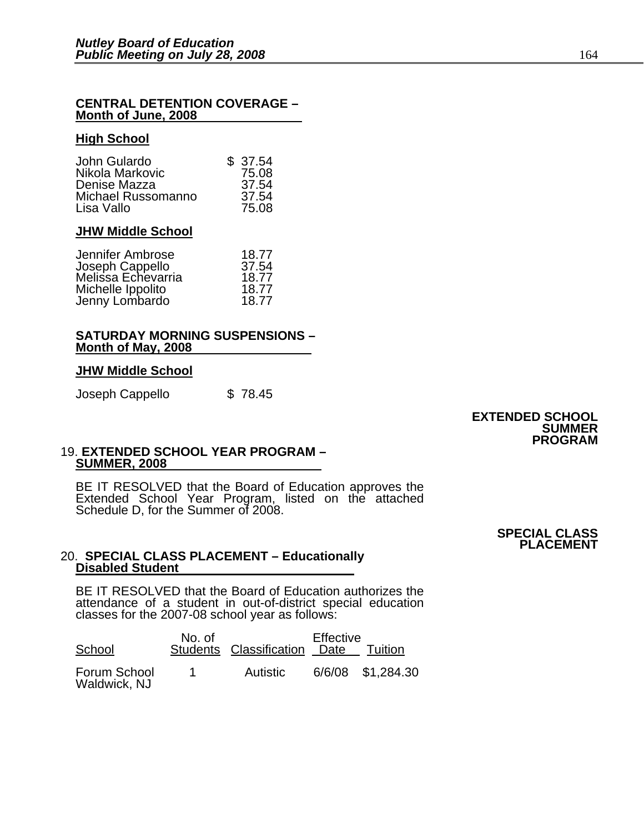#### **CENTRAL DETENTION COVERAGE – Month of June, 2008**

#### **High School**

| John Gulardo       | \$37.54 |
|--------------------|---------|
| Nikola Markovic    | 75.08   |
| Denise Mazza       | 37.54   |
| Michael Russomanno | 37.54   |
| Lisa Vallo         | 75.08   |

#### **JHW Middle School**

| Jennifer Ambrose                      | 18.77 |
|---------------------------------------|-------|
| Joseph Cappello<br>Melissa Echevarria | 37.54 |
|                                       | 18.77 |
|                                       | 18.77 |
| Michelle Ippolito<br>Jenny Lombardo   | 18.77 |

#### **SATURDAY MORNING SUSPENSIONS – Month of May, 2008**

#### **JHW Middle School**

Joseph Cappello \$ 78.45

#### **EXTENDED SCHOOL SUMMER PROGRAM**

#### 19. **EXTENDED SCHOOL YEAR PROGRAM – SUMMER, 2008**

BE IT RESOLVED that the Board of Education approves the<br>Extended School Year Program, listed on the attached Schedule D, for the Summer of 2008.

> **SPECIAL CLASS PLACEMENT**

#### 20. **SPECIAL CLASS PLACEMENT – Educationally Disabled Student**

BE IT RESOLVED that the Board of Education authorizes the attendance of a student in out-of-district special education classes for the 2007-08 school year as follows:

| School                       | No. of | Students Classification Date | Effective | Tuition           |
|------------------------------|--------|------------------------------|-----------|-------------------|
| Forum School<br>Waldwick, NJ |        | Autistic                     |           | 6/6/08 \$1,284.30 |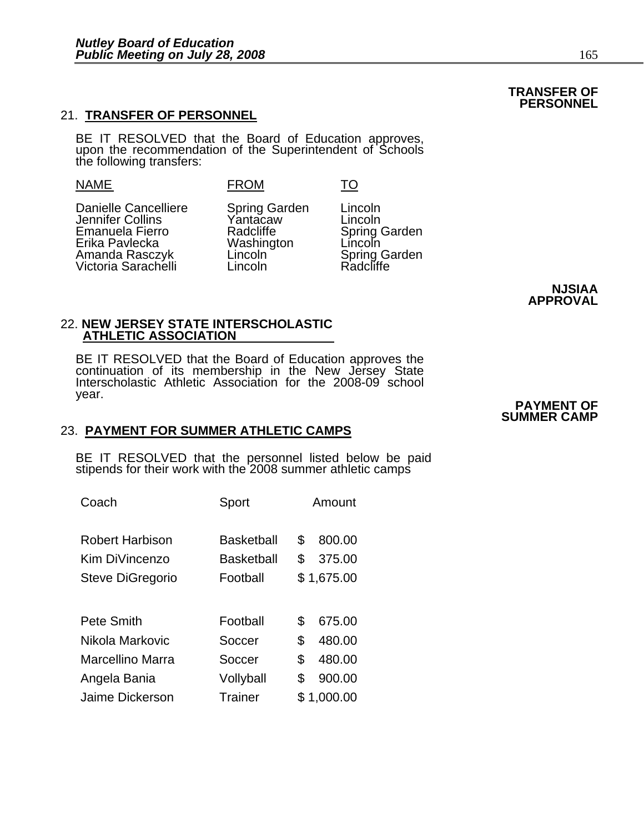### 21. **TRANSFER OF PERSONNEL**

BE IT RESOLVED that the Board of Education approves, upon the recommendation of the Superintendent of Schools the following transfers:

#### NAME FROM TO

Danielle Cancelliere Spring Garden Lincoln<br>
Jennifer Collins Mantacaw Lincoln Jennifer Collins Yantacaw Lincoln<br>
Emanuela Fierro Radcliffe Spring Garden Emanuela Fierro Radcliffe Radcliffe Spring (<br>
Erika Pavlecka Mashington Lincoln Erika Pavlecka Washington Lincoln Amanda Rasczyk Lincoln Spring Garden Amanda Rasczyk Lincoln Spring Garden Victoria Sarachelli

**NJSIAA APPROVAL**

#### 22. **NEW JERSEY STATE INTERSCHOLASTIC ATHLETIC ASSOCIATION**

BE IT RESOLVED that the Board of Education approves the continuation of its membership in the New Jersey State Interscholastic Athletic Association for the 2008-09 school year. year. **PAYMENT OF**

#### 23. **PAYMENT FOR SUMMER ATHLETIC CAMPS**

BE IT RESOLVED that the personnel listed below be paid stipends for their work with the 2008 summer athletic camps

| Sport             |    | Amount     |
|-------------------|----|------------|
| Basketball        | \$ | 800.00     |
| <b>Basketball</b> | S  | 375.00     |
| Football          |    | \$1,675.00 |
|                   |    |            |
| Football          | \$ | 675.00     |
| Soccer            | \$ | 480.00     |
| Soccer            | \$ | 480.00     |
| Vollyball         | \$ | 900.00     |
| Trainer           |    | \$1,000.00 |
|                   |    |            |

### **SUMMER CAMP**

#### **TRANSFER OF PERSONNEL**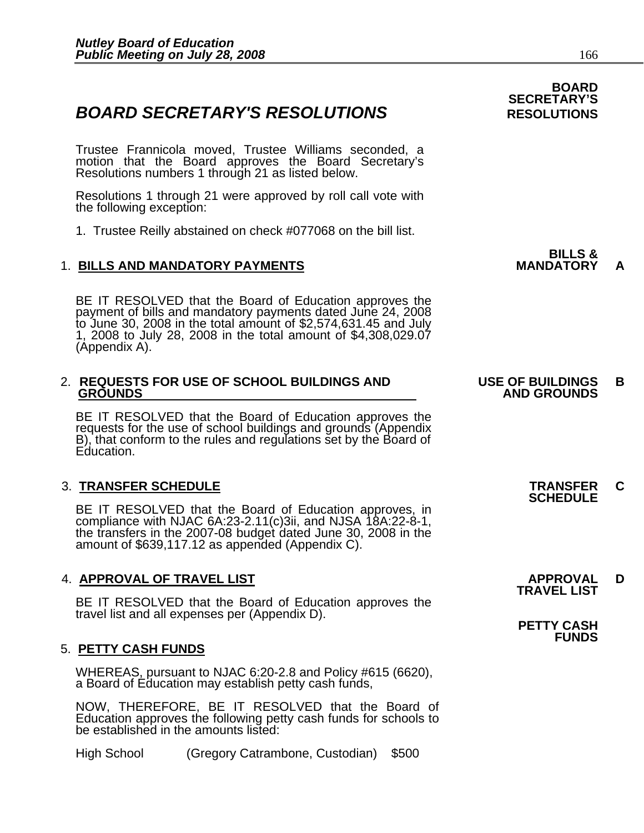### **BOARD SECRETARY'S RESOLUTIONS** RESOLUTIONS

Trustee Frannicola moved, Trustee Williams seconded, a motion that the Board approves the Board Secretary's Resolutions numbers 1 through 21 as listed below.

Resolutions 1 through 21 were approved by roll call vote with the following exception:

1. Trustee Reilly abstained on check #077068 on the bill list.

### 1. **BILLS AND MANDATORY PAYMENTS MANDATORY A**

BE IT RESOLVED that the Board of Education approves the payment of bills and mandatory payments dated June 24, 2008 to June 30, 2008 in the total amount of \$2,574,631.45 and July 1, 2008 to July 28, 2008 in the total amoun

### 2. **REQUESTS FOR USE OF SCHOOL BUILDINGS AND USE OF BUILDINGS B**

BE IT RESOLVED that the Board of Education approves the requests for the use of school buildings and grounds (Appendix B), that conform to the rules and regulations set by the Board of Education.

3. **TRANSFER SCHEDULE**<br>**BE IT RESOLVED that the Board of Education approves, in SCHEDULE**<br>**BE IT RESOLVED that the Board of Education approves, in** compliance with NJAC 6A:23-2.11(c)3ii, and NJSA 18A:22-8-1,<br>the transfers in the 2007-08 budget dated June 30, 2008 in the<br>amount of \$639,117.12 as appended (Appendix C).

### 4. **APPROVAL OF TRAVEL LIST APPROVAL D TRAVEL LIST**

BE IT RESOLVED that the Board of Education approves the<br>travel list and all expenses per (Appendix D). **PETTY CASH** 

#### 5. **PETTY CASH FUNDS**

WHEREAS, pursuant to NJAC 6:20-2.8 and Policy #615 (6620), a Board of Education may establish petty cash funds,

NOW, THEREFORE, BE IT RESOLVED that the Board of Education approves the following petty cash funds for schools to be established in the amounts listed:

High School (Gregory Catrambone, Custodian) \$500

### **BOARD SECRETARY'S**

## **BILLS &**

## **GROUNDS AND GROUNDS**

**FUNDS**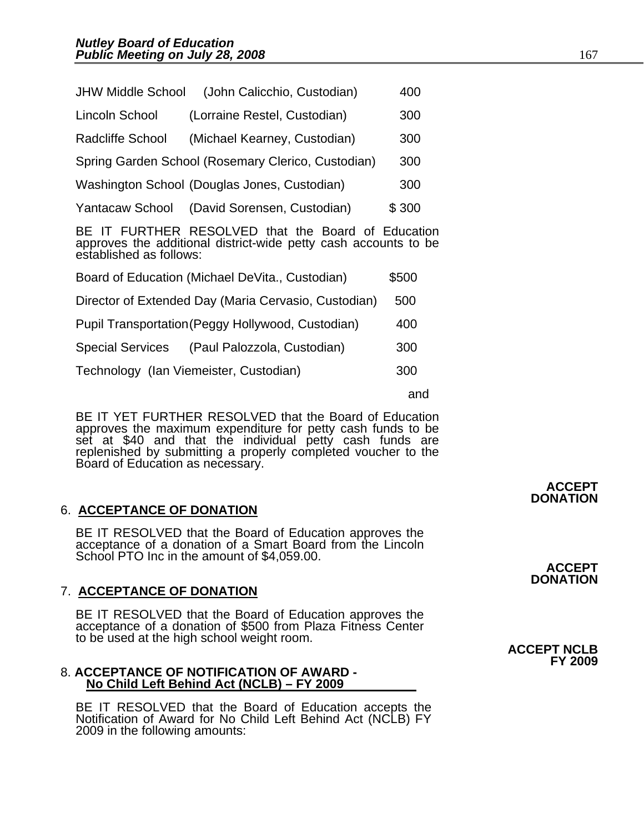| <b>JHW Middle School</b>                                                                                                                             | (John Calicchio, Custodian)                        | 400   |  |  |
|------------------------------------------------------------------------------------------------------------------------------------------------------|----------------------------------------------------|-------|--|--|
| Lincoln School                                                                                                                                       | (Lorraine Restel, Custodian)                       | 300   |  |  |
| Radcliffe School                                                                                                                                     | (Michael Kearney, Custodian)                       | 300   |  |  |
|                                                                                                                                                      | Spring Garden School (Rosemary Clerico, Custodian) | 300   |  |  |
|                                                                                                                                                      | Washington School (Douglas Jones, Custodian)       | 300   |  |  |
| Yantacaw School                                                                                                                                      | (David Sorensen, Custodian)                        | \$300 |  |  |
| IT FURTHER RESOLVED that the Board of Education<br>BE.<br>approves the additional district-wide petty cash accounts to be<br>established as follows: |                                                    |       |  |  |
|                                                                                                                                                      | Board of Education (Michael DeVita., Custodian)    | \$500 |  |  |
| Director of Extended Day (Maria Cervasio, Custodian)<br>500                                                                                          |                                                    |       |  |  |
|                                                                                                                                                      | Pupil Transportation (Peggy Hollywood, Custodian)  | 400   |  |  |
|                                                                                                                                                      | Special Services (Paul Palozzola, Custodian)       | 300   |  |  |
| Technology (Ian Viemeister, Custodian)<br>300                                                                                                        |                                                    |       |  |  |
|                                                                                                                                                      |                                                    |       |  |  |

and the contract of the contract of the contract of the contract of the contract of the contract of the contract of the contract of the contract of the contract of the contract of the contract of the contract of the contra

BE IT YET FURTHER RESOLVED that the Board of Education approves the maximum expenditure for petty cash funds to be set at \$40 and that the individual petty cash funds are replenished by submitting a properly completed voucher to the Board of Education as necessary.

#### 6. **ACCEPTANCE OF DONATION**

BE IT RESOLVED that the Board of Education approves the acceptance of a donation of a Smart Board from the Lincoln School PTO Inc in the amount of \$4,059.00.

### 7. **ACCEPTANCE OF DONATION**

BE IT RESOLVED that the Board of Education approves the acceptance of a donation of \$500 from Plaza Fitness Center to be used at the high school weight room. **ACCEPT NCLB**

#### 8. **ACCEPTANCE OF NOTIFICATION OF AWARD - No Child Left Behind Act (NCLB) – FY 2009**

BE IT RESOLVED that the Board of Education accepts the Notification of Award for No Child Left Behind Act (NCLB) FY 2009 in the following amounts:

### **ACCEPT DONATION**

### **ACCEPT DONATION**

**FY 2009**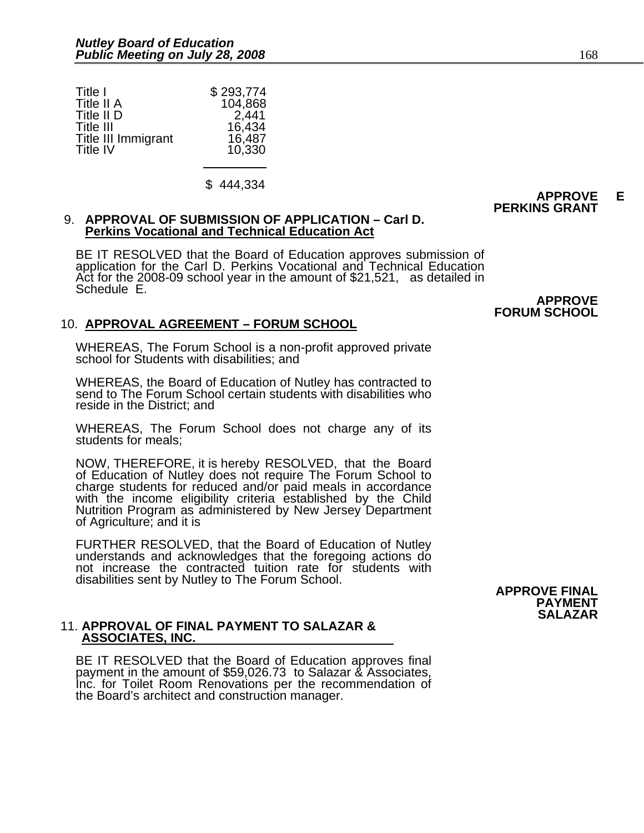| Title I             | \$293,774 |
|---------------------|-----------|
| Title II A          | 104,868   |
| Title II D          | 2,441     |
| Title III           | 16,434    |
| Title III Immigrant | 16,487    |
| Title IV            | 10,330    |

\$ 444,334

#### 9. **APPROVAL OF SUBMISSION OF APPLICATION – Carl D. Perkins Vocational and Technical Education Act**

BE IT RESOLVED that the Board of Education approves submission of application for the Carl D. Perkins Vocational and Technical Education Act for the 2008-09 school year in the amount of \$21,521, as detailed in Schedule E.

### 10. **APPROVAL AGREEMENT – FORUM SCHOOL**

WHEREAS, The Forum School is a non-profit approved private school for Students with disabilities; and

WHEREAS, the Board of Education of Nutley has contracted to send to The Forum School certain students with disabilities who reside in the District; and

WHEREAS, The Forum School does not charge any of its students for meals;

NOW, THEREFORE, it is hereby RESOLVED, that the Board of Education of Nutley does not require The Forum School to charge students for reduced and/or paid meals in accordance with the income eligibility criteria established by the Child Nutrition Program as administered by New Jersey Department of Agriculture; and it is

FURTHER RESOLVED, that the Board of Education of Nutley understands and acknowledges that the foregoing actions do not increase the contracted tuition rate for students with disabilities sent by Nutley to The Forum School. **APPROVE FINAL** 

### 11. **APPROVAL OF FINAL PAYMENT TO SALAZAR & ASSOCIATES, INC.**

BE IT RESOLVED that the Board of Education approves final payment in the amount of \$59,026.73 to Salazar & Associates, Inc. for Toilet Room Renovations per the recommendation of the Board's architect and construction manager.

**APPROVE FORUM SCHOOL**

**PERKINS GRANT**



**APPROVE E**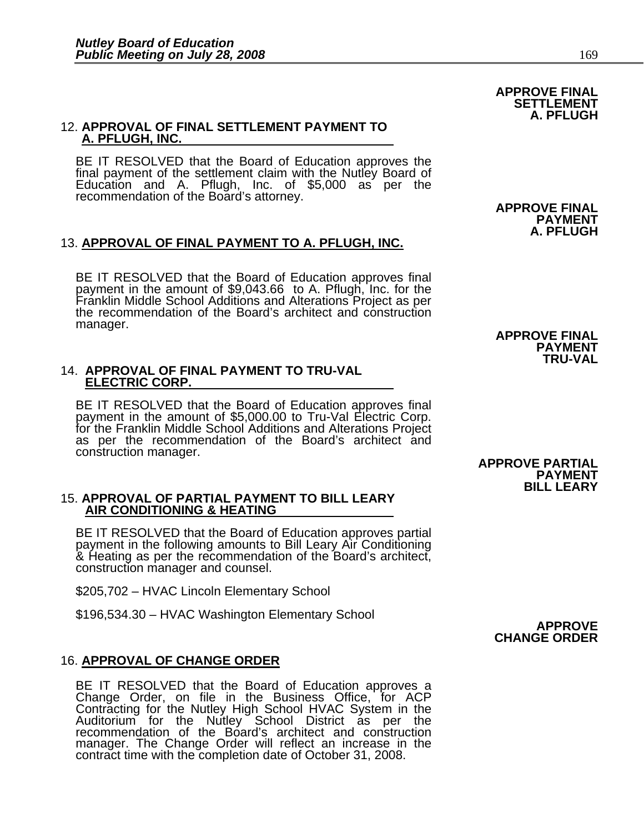## 12. **APPROVAL OF FINAL SETTLEMENT PAYMENT TO A. PFLUGH, INC.**

BE IT RESOLVED that the Board of Education approves the final payment of the settlement claim with the Nutley Board of Education and A. Pflugh, Inc. of \$5,000 as per the recommendation of the Board's attorney.<br>**APPROVE FINAL** 

### 13. **APPROVAL OF FINAL PAYMENT TO A. PFLUGH, INC.**

BE IT RESOLVED that the Board of Education approves final payment in the amount of \$9,043.66 to A. Pflugh, Inc. for the Franklin Middle School Additions and Alterations Project as per the recommendation of the Board's arch manager.<br> **APPROVE FINAL** 

### 14. **APPROVAL OF FINAL PAYMENT TO TRU-VAL ELECTRIC CORP.**

BE IT RESOLVED that the Board of Education approves final<br>payment in the amount of \$5,000.00 to Tru-Val Electric Corp.<br>for the Franklin Middle School Additions and Alterations Project<br>as per the recommendation of the Board construction manager.

### 15. **APPROVAL OF PARTIAL PAYMENT TO BILL LEARY AIR CONDITIONING & HEATING**

BE IT RESOLVED that the Board of Education approves partial payment in the following amounts to Bill Leary Air Conditioning & Heating as per the recommendation of the Board's architect, construction manager and counsel.

\$205,702 – HVAC Lincoln Elementary School

\$196,534.30 – HVAC Washington Elementary School **APPROVE**

#### 16. **APPROVAL OF CHANGE ORDER**

BE IT RESOLVED that the Board of Education approves a Change Order, on file in the Business Office, for ACP Contracting for the Nutley High School HVAC System in the Auditorium for the Nutley School District as per the recommendation of the Board's architect and construction manager. The Change Order will reflect an increase in the contract time with the completion date of October 31, 2008.

**PAYMENT A. PFLUGH**

**APPROVE FINAL SETTLEMENT A. PFLUGH**

**PAYMENT TRU-VAL**

 **APPROVE PARTIAL PAYMENT BILL LEARY**

**CHANGE ORDER**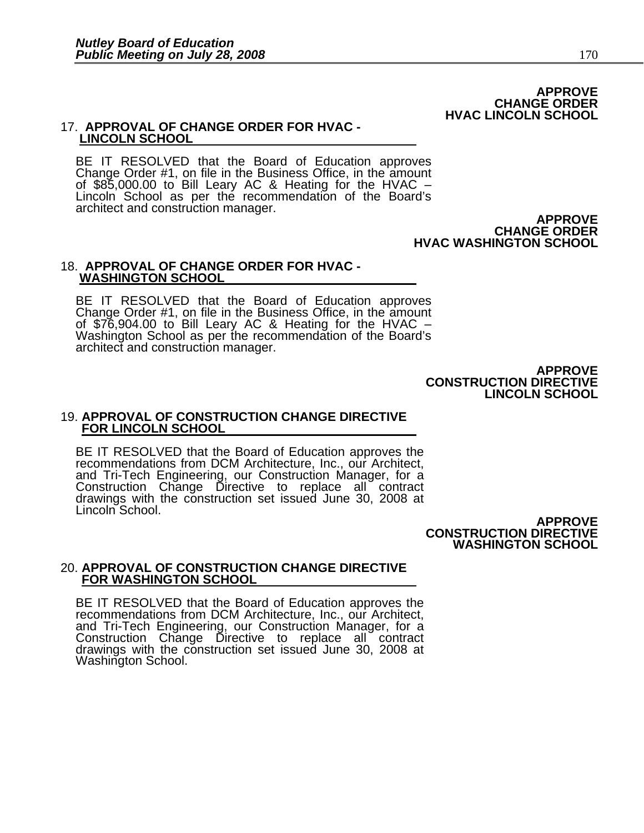#### **APPROVE CHANGE ORDER HVAC LINCOLN SCHOOL**

#### 17. **APPROVAL OF CHANGE ORDER FOR HVAC - LINCOLN SCHOOL**

BE IT RESOLVED that the Board of Education approves<br>Change Order #1, on file in the Business Office, in the amount<br>of \$85,000.00 to Bill Leary AC & Heating for the HVAC –<br>Lincoln School as per the recommendation of the Boa architect and construction manager.<br>**APPROVE** 

**CHANGE ORDER HVAC WASHINGTON SCHOOL**

#### 18. **APPROVAL OF CHANGE ORDER FOR HVAC - WASHINGTON SCHOOL**

BE IT RESOLVED that the Board of Education approves<br>Change Order #1, on file in the Business Office, in the amount<br>of \$76,904.00 to Bill Leary AC & Heating for the HVAC –<br>Washington School as per the recommendation of the architect and construction manager.

> **APPROVE CONSTRUCTION DIRECTIVE LINCOLN SCHOOL**

#### 19. **APPROVAL OF CONSTRUCTION CHANGE DIRECTIVE FOR LINCOLN SCHOOL**

BE IT RESOLVED that the Board of Education approves the recommendations from DCM Architecture, Inc., our Architect, and Tri-Tech Engineering, our Construction Manager, for a Construction Change Directive to replace all contract drawings with the construction set issued June 30, 2008 at Lincoln School.

**APPROVE CONSTRUCTION DIRECTIVE WASHINGTON SCHOOL**

#### 20. **APPROVAL OF CONSTRUCTION CHANGE DIRECTIVE FOR WASHINGTON SCHOOL**

BE IT RESOLVED that the Board of Education approves the recommendations from DCM Architecture, Inc., our Architect, and Tri-Tech Engineering, our Construction Manager, for a<br>Construction Change Directive to replace all contract drawings with the construction set issued June 30, 2008 at Washington School.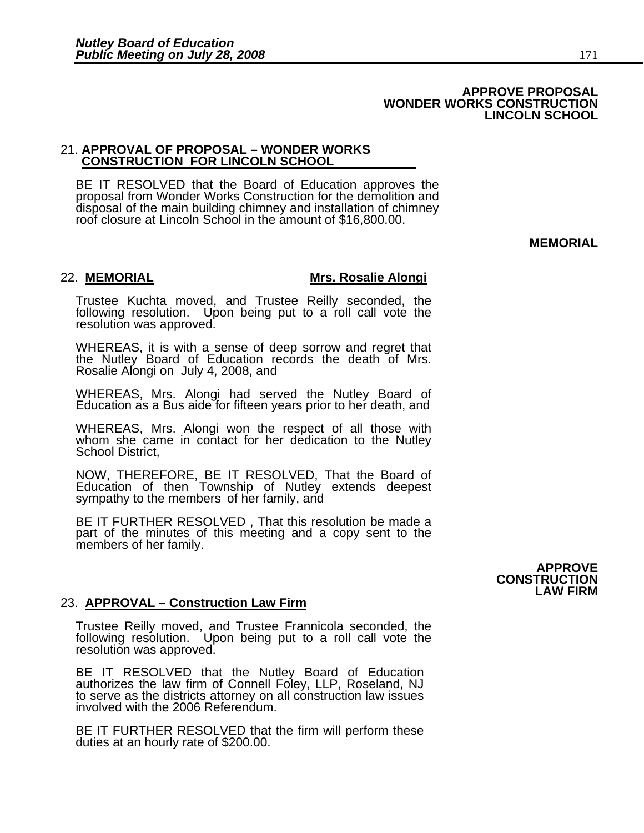#### **APPROVE PROPOSAL WONDER WORKS CONSTRUCTION LINCOLN SCHOOL**

## 21. **APPROVAL OF PROPOSAL – WONDER WORKS CONSTRUCTION FOR LINCOLN SCHOOL**

BE IT RESOLVED that the Board of Education approves the proposal from Wonder Works Construction for the demolition and disposal of the main building chimney and installation of chimney roof closure at Lincoln School in the amount of \$16,800.00.

**MEMORIAL** 

#### 22. **MEMORIAL Mrs. Rosalie Alongi**

Trustee Kuchta moved, and Trustee Reilly seconded, the following resolution. Upon being put to a roll call vote the resolution was approved.

WHEREAS, it is with a sense of deep sorrow and regret that the Nutley Board of Education records the death of Mrs. Rosalie Alongi on July 4, 2008, and

WHEREAS, Mrs. Alongi had served the Nutley Board of Education as a Bus aide for fifteen years prior to her death, and

WHEREAS, Mrs. Alongi won the respect of all those with whom she came in contact for her dedication to the Nutley School District,

NOW, THEREFORE, BE IT RESOLVED, That the Board of Education of then Township of Nutley extends deepest sympathy to the members of her family, and

BE IT FURTHER RESOLVED , That this resolution be made a part of the minutes of this meeting and a copy sent to the members of her family.

#### 23. **APPROVAL – Construction Law Firm**

Trustee Reilly moved, and Trustee Frannicola seconded, the following resolution. Upon being put to a roll call vote the resolution was approved.

BE IT RESOLVED that the Nutley Board of Education authorizes the law firm of Connell Foley, LLP, Roseland, NJ to serve as the districts attorney on all construction law issues involved with the 2006 Referendum.

BE IT FURTHER RESOLVED that the firm will perform these duties at an hourly rate of \$200.00.

**APPROVE CONSTRUCTION LAW FIRM**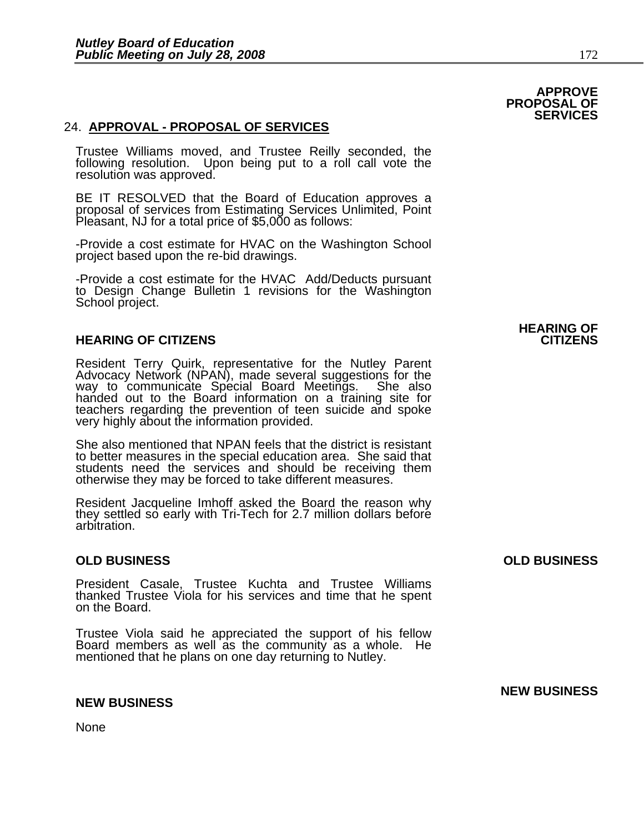#### 24. **APPROVAL - PROPOSAL OF SERVICES**

Trustee Williams moved, and Trustee Reilly seconded, the following resolution. Upon being put to a roll call vote the resolution was approved.

BE IT RESOLVED that the Board of Education approves a proposal of services from Estimating Services Unlimited, Point Pleasant, NJ for a total price of \$5,000 as follows:

-Provide a cost estimate for HVAC on the Washington School project based upon the re-bid drawings.

-Provide a cost estimate for the HVAC Add/Deducts pursuant to Design Change Bulletin 1 revisions for the Washington School project.

#### **HEARING OF CITIZENS CITIZENS**

Resident Terry Quirk, representative for the Nutley Parent Advocacy Network (NPAN), made several suggestions for the way to communicate Special Board Meetings. She also handed out to the Board information on a training site for teachers regarding the prevention of teen suicide and spoke very highly about the information provided.

She also mentioned that NPAN feels that the district is resistant to better measures in the special education area. She said that students need the services and should be receiving them otherwise they may be forced to take different measures.

Resident Jacqueline Imhoff asked the Board the reason why they settled so early with Tri-Tech for 2.7 million dollars before arbitration.

President Casale, Trustee Kuchta and Trustee Williams thanked Trustee Viola for his services and time that he spent on the Board.

Trustee Viola said he appreciated the support of his fellow Board members as well as the community as a whole. He mentioned that he plans on one day returning to Nutley.

#### **NEW BUSINESS**

None

**HEARING OF** 

#### **OLD BUSINESS OLD BUSINESS**

**NEW BUSINESS**